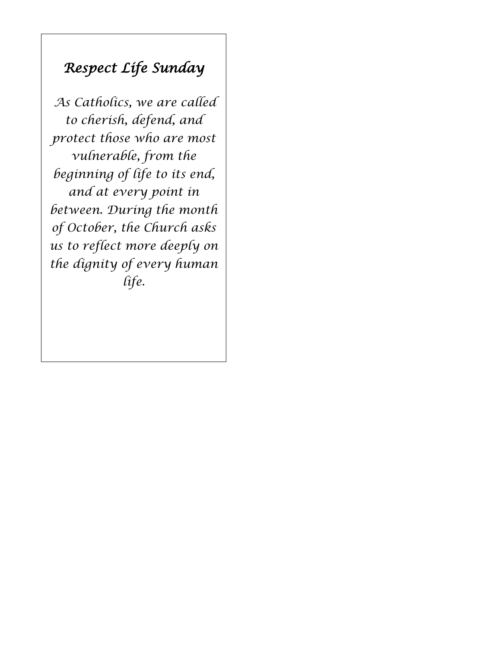# *Respect Life Sunday*

*As Catholics, we are called to cherish, defend, and protect those who are most vulnerable, from the beginning of life to its end, and at every point in between. During the month of October, the Church asks us to reflect more deeply on the dignity of every human life.*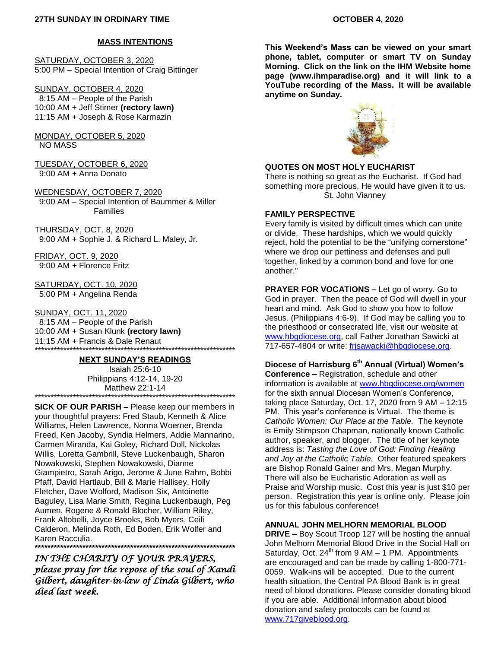#### **MASS INTENTIONS**

SATURDAY, OCTOBER 3, 2020 5:00 PM – Special Intention of Craig Bittinger

SUNDAY, OCTOBER 4, 2020 8:15 AM – People of the Parish 10:00 AM + Jeff Stimer **(rectory lawn)** 11:15 AM + Joseph & Rose Karmazin

MONDAY, OCTOBER 5, 2020 NO MASS

TUESDAY, OCTOBER 6, 2020 9:00 AM + Anna Donato

WEDNESDAY, OCTOBER 7, 2020 9:00 AM – Special Intention of Baummer & Miller Families

THURSDAY, OCT. 8, 2020 9:00 AM + Sophie J. & Richard L. Maley, Jr.

FRIDAY, OCT. 9, 2020 9:00 AM + Florence Fritz

SATURDAY, OCT. 10, 2020 5:00 PM + Angelina Renda

SUNDAY, OCT. 11, 2020 8:15 AM – People of the Parish 10:00 AM + Susan Klunk **(rectory lawn)** 11:15 AM + Francis & Dale Renaut \*\*\*\*\*\*\*\*\*\*\*\*\*\*\*\*\*\*\*\*\*\*\*\*\*\*\*\*\*\*\*\*\*\*\*\*\*\*\*\*\*\*\*\*\*\*\*\*\*\*\*\*\*\*\*\*\*\*\*\*\*\*\*

#### **NEXT SUNDAY'S READINGS**

Isaiah 25:6-10 Philippians 4:12-14, 19-20 Matthew 22:1-14 \*\*\*\*\*\*\*\*\*\*\*\*\*\*\*\*\*\*\*\*\*\*\*\*\*\*\*\*\*\*\*\*\*\*\*\*\*\*\*\*\*\*\*\*\*\*\*\*\*\*\*\*\*\*\*\*\*\*\*\*\*\*\*

**SICK OF OUR PARISH –** Please keep our members in your thoughtful prayers: Fred Staub, Kenneth & Alice Williams, Helen Lawrence, Norma Woerner, Brenda Freed, Ken Jacoby, Syndia Helmers, Addie Mannarino, Carmen Miranda, Kai Goley, Richard Doll, Nickolas Willis, Loretta Gambrill, Steve Luckenbaugh, Sharon Nowakowski, Stephen Nowakowski, Dianne Giampietro, Sarah Arigo, Jerome & June Rahm, Bobbi Pfaff, David Hartlaub, Bill & Marie Hallisey, Holly Fletcher, Dave Wolford, Madison Six, Antoinette Baguley, Lisa Marie Smith, Regina Luckenbaugh, Peg Aumen, Rogene & Ronald Blocher, William Riley, Frank Altobelli, Joyce Brooks, Bob Myers, Ceili Calderon, Melinda Roth, Ed Boden, Erik Wolfer and Karen Racculia. **\*\*\*\*\*\*\*\*\*\*\*\*\*\*\*\*\*\*\*\*\*\*\*\*\*\*\*\*\*\*\*\*\*\*\*\*\*\*\*\*\*\*\*\*\*\*\*\*\*\*\*\*\*\*\*\*\*\*\*\*\*\*\***

*IN THE CHARITY OF YOUR PRAYERS, please pray for the repose of the soul of Kandi Gilbert, daughter-in-law of Linda Gilbert, who died last week.* 

**This Weekend's Mass can be viewed on your smart phone, tablet, computer or smart TV on Sunday Morning. Click on the link on the IHM Website home page (www.ihmparadise.org) and it will link to a YouTube recording of the Mass. It will be available anytime on Sunday.**



#### **QUOTES ON MOST HOLY EUCHARIST**

There is nothing so great as the Eucharist. If God had something more precious, He would have given it to us. St. John Vianney

#### **FAMILY PERSPECTIVE**

Every family is visited by difficult times which can unite or divide. These hardships, which we would quickly reject, hold the potential to be the "unifying cornerstone" where we drop our pettiness and defenses and pull together, linked by a common bond and love for one another."

**PRAYER FOR VOCATIONS –** Let go of worry. Go to God in prayer. Then the peace of God will dwell in your heart and mind. Ask God to show you how to follow Jesus. (Philippians 4:6-9). If God may be calling you to the priesthood or consecrated life, visit our website at [www.hbgdiocese.org,](http://www.hbgdiocese.org/) call Father Jonathan Sawicki at 717-657-4804 or write: [frjsawacki@hbgdiocese.org.](mailto:frjsawacki@hbgdiocese.org)

## **Diocese of Harrisburg 6th Annual (Virtual) Women's**

**Conference –** Registration, schedule and other information is available at [www.hbgdiocese.org/women](http://www.hbgdiocese.org/women) for the sixth annual Diocesan Women's Conference, taking place Saturday, Oct. 17, 2020 from 9 AM – 12:15 PM. This year's conference is Virtual. The theme is *Catholic Women: Our Place at the Table.* The keynote is Emily Stimpson Chapman, nationally known Catholic author, speaker, and blogger. The title of her keynote address is: *Tasting the Love of God: Finding Healing and Joy at the Catholic Table.* Other featured speakers are Bishop Ronald Gainer and Mrs. Megan Murphy. There will also be Eucharistic Adoration as well as Praise and Worship music. Cost this year is just \$10 per person. Registration this year is online only. Please join us for this fabulous conference!

#### **ANNUAL JOHN MELHORN MEMORIAL BLOOD**

**DRIVE –** Boy Scout Troop 127 will be hosting the annual John Melhorn Memorial Blood Drive in the Social Hall on Saturday, Oct.  $24^{th}$  from 9 AM  $-$  1 PM. Appointments are encouraged and can be made by calling 1-800-771- 0059. Walk-ins will be accepted. Due to the current health situation, the Central PA Blood Bank is in great need of blood donations. Please consider donating blood if you are able. Additional information about blood donation and safety protocols can be found at [www.717giveblood.org.](http://www.717giveblood.org/)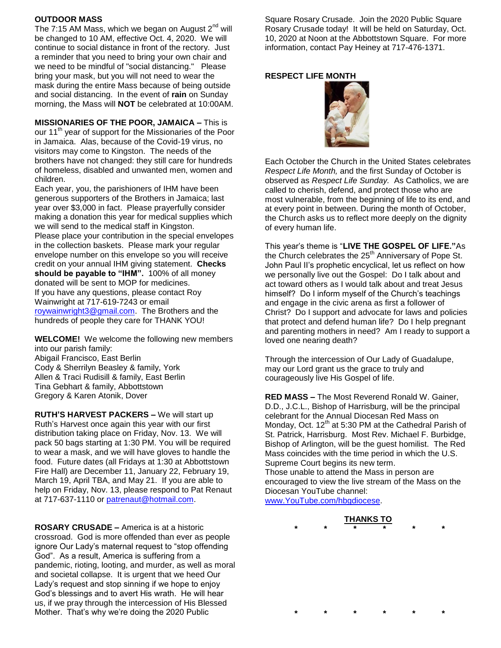#### **OUTDOOR MASS**

The 7:15 AM Mass, which we began on August  $2<sup>nd</sup>$  will be changed to 10 AM, effective Oct. 4, 2020. We will continue to social distance in front of the rectory. Just a reminder that you need to bring your own chair and we need to be mindful of "social distancing." Please bring your mask, but you will not need to wear the mask during the entire Mass because of being outside and social distancing. In the event of **rain** on Sunday morning, the Mass will **NOT** be celebrated at 10:00AM.

**MISSIONARIES OF THE POOR, JAMAICA –** This is our 11<sup>th</sup> year of support for the Missionaries of the Poor in Jamaica. Alas, because of the Covid-19 virus, no visitors may come to Kingston. The needs of the brothers have not changed: they still care for hundreds of homeless, disabled and unwanted men, women and children.

Each year, you, the parishioners of IHM have been generous supporters of the Brothers in Jamaica; last year over \$3,000 in fact. Please prayerfully consider making a donation this year for medical supplies which we will send to the medical staff in Kingston. Please place your contribution in the special envelopes in the collection baskets. Please mark your regular envelope number on this envelope so you will receive credit on your annual IHM giving statement. **Checks should be payable to "IHM".** 100% of all money donated will be sent to MOP for medicines. If you have any questions, please contact Roy Wainwright at 717-619-7243 or email [roywainwright3@gmail.com.](mailto:roywainwright3@gmail.com) The Brothers and the hundreds of people they care for THANK YOU!

**WELCOME!** We welcome the following new members into our parish family: Abigail Francisco, East Berlin Cody & Sherrilyn Beasley & family, York Allen & Traci Rudisill & family, East Berlin Tina Gebhart & family, Abbottstown Gregory & Karen Atonik, Dover

**RUTH'S HARVEST PACKERS –** We will start up Ruth's Harvest once again this year with our first distribution taking place on Friday, Nov. 13. We will pack 50 bags starting at 1:30 PM. You will be required to wear a mask, and we will have gloves to handle the food. Future dates (all Fridays at 1:30 at Abbottstown Fire Hall) are December 11, January 22, February 19, March 19, April TBA, and May 21. If you are able to help on Friday, Nov. 13, please respond to Pat Renaut at 717-637-1110 or [patrenaut@hotmail.com.](mailto:patrenaut@hotmail.com)

**ROSARY CRUSADE –** America is at a historic crossroad. God is more offended than ever as people ignore Our Lady's maternal request to "stop offending God". As a result, America is suffering from a pandemic, rioting, looting, and murder, as well as moral and societal collapse. It is urgent that we heed Our Lady's request and stop sinning if we hope to enjoy God's blessings and to avert His wrath. He will hear us, if we pray through the intercession of His Blessed Mother. That's why we're doing the 2020 Public

Square Rosary Crusade. Join the 2020 Public Square Rosary Crusade today! It will be held on Saturday, Oct. 10, 2020 at Noon at the Abbottstown Square. For more information, contact Pay Heiney at 717-476-1371.

#### **RESPECT LIFE MONTH**



Each October the Church in the United States celebrates *Respect Life Month,* and the first Sunday of October is observed as *Respect Life Sunday.* As Catholics, we are called to cherish, defend, and protect those who are most vulnerable, from the beginning of life to its end, and at every point in between. During the month of October, the Church asks us to reflect more deeply on the dignity of every human life.

This year's theme is "**LIVE THE GOSPEL OF LIFE."**As the Church celebrates the  $25<sup>th</sup>$  Anniversary of Pope St. John Paul II's prophetic encyclical, let us reflect on how we personally live out the Gospel: Do I talk about and act toward others as I would talk about and treat Jesus himself? Do I inform myself of the Church's teachings and engage in the civic arena as first a follower of Christ? Do I support and advocate for laws and policies that protect and defend human life? Do I help pregnant and parenting mothers in need? Am I ready to support a loved one nearing death?

Through the intercession of Our Lady of Guadalupe, may our Lord grant us the grace to truly and courageously live His Gospel of life.

**RED MASS –** The Most Reverend Ronald W. Gainer, D.D., J.C.L., Bishop of Harrisburg, will be the principal celebrant for the Annual Diocesan Red Mass on Monday, Oct.  $12<sup>th</sup>$  at 5:30 PM at the Cathedral Parish of St. Patrick, Harrisburg. Most Rev. Michael F. Burbidge, Bishop of Arlington, will be the guest homilist. The Red Mass coincides with the time period in which the U.S. Supreme Court begins its new term. Those unable to attend the Mass in person are encouraged to view the live stream of the Mass on the Diocesan YouTube channel: [www.YouTube.com/hbgdiocese.](http://www.youtube.com/hbgdiocese)

#### **THANKS TO \* \* \* \* \* \***

**\* \* \* \* \* \***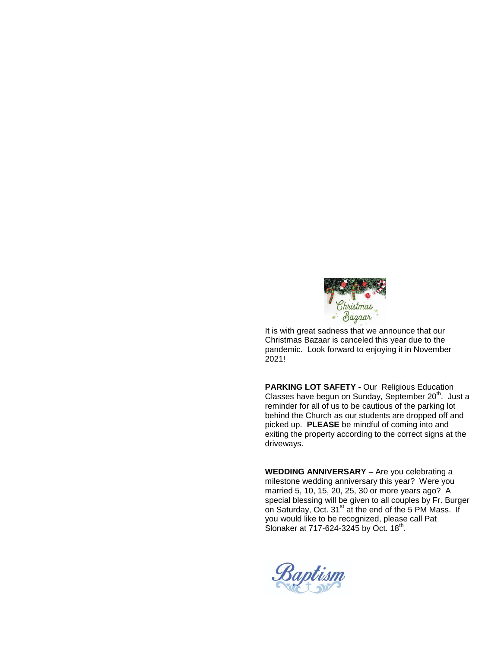

It is with great sadness that we announce that our Christmas Bazaar is canceled this year due to the pandemic. Look forward to enjoying it in November 2021!

**PARKING LOT SAFETY -** Our Religious Education Classes have begun on Sunday, September 20<sup>th</sup>. Just a reminder for all of us to be cautious of the parking lot behind the Church as our students are dropped off and picked up. **PLEASE** be mindful of coming into and exiting the property according to the correct signs at the driveways.

**WEDDING ANNIVERSARY –** Are you celebrating a milestone wedding anniversary this year? Were you married 5, 10, 15, 20, 25, 30 or more years ago? A special blessing will be given to all couples by Fr. Burger on Saturday, Oct. 31<sup>st</sup> at the end of the 5 PM Mass. If you would like to be recognized, please call Pat Slonaker at 717-624-3245 by Oct. 18<sup>th</sup>.

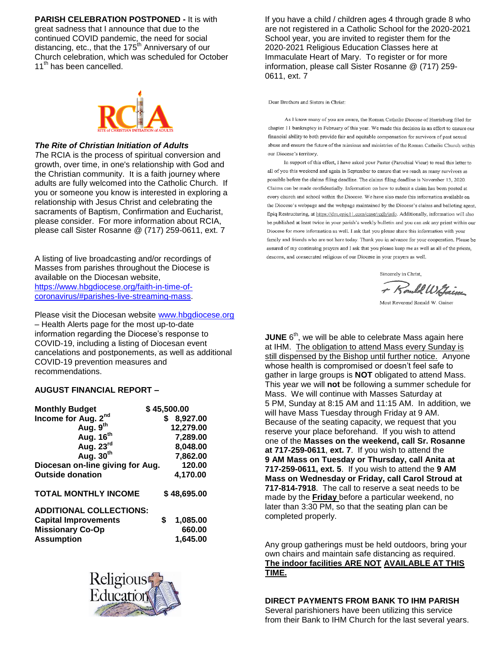**PARISH CELEBRATION POSTPONED -** It is with great sadness that I announce that due to the continued COVID pandemic, the need for social distancing, etc., that the 175<sup>th</sup> Anniversary of our Church celebration, which was scheduled for October 11<sup>th</sup> has been cancelled.



#### *The Rite of Christian Initiation of Adults*

*T*he RCIA is the process of spiritual conversion and growth, over time, in one's relationship with God and the Christian community. It is a faith journey where adults are fully welcomed into the Catholic Church. If you or someone you know is interested in exploring a relationship with Jesus Christ and celebrating the sacraments of Baptism, Confirmation and Eucharist, please consider. For more information about RCIA, please call Sister Rosanne @ (717) 259-0611, ext. 7

A listing of live broadcasting and/or recordings of Masses from parishes throughout the Diocese is available on the Diocesan website, [https://www.hbgdiocese.org/faith-in-time-of](https://www.hbgdiocese.org/faith-in-time-of-coronavirus/#parishes-live-streaming-mass)[coronavirus/#parishes-live-streaming-mass.](https://www.hbgdiocese.org/faith-in-time-of-coronavirus/#parishes-live-streaming-mass)

Please visit the Diocesan website [www.hbgdiocese.org](http://www.hbgdiocese.org/) – Health Alerts page for the most up-to-date information regarding the Diocese's response to COVID-19, including a listing of Diocesan event cancelations and postponements, as well as additional COVID-19 prevention measures and recommendations.

#### **AUGUST FINANCIAL REPORT –**

| <b>Monthly Budget</b>            | \$45,500.00    |
|----------------------------------|----------------|
| Income for Aug. 2 <sup>nd</sup>  | 8,927.00       |
| Aug. 9th                         | 12,279.00      |
| Aug. 16 <sup>th</sup>            | 7,289.00       |
| Aug. 23rd                        | 8,048.00       |
| Aug. $30th$                      | 7,862.00       |
| Diocesan on-line giving for Aug. | 120.00         |
| <b>Outside donation</b>          | 4,170.00       |
| <b>TOTAL MONTHLY INCOME</b>      | \$48,695.00    |
| <b>ADDITIONAL COLLECTIONS:</b>   |                |
| <b>Capital Improvements</b>      | \$<br>1,085.00 |
| <b>Missionary Co-Op</b>          | 660.00         |
| <b>Assumption</b>                | 1,645.00       |



If you have a child / children ages 4 through grade 8 who are not registered in a Catholic School for the 2020-2021 School year, you are invited to register them for the 2020-2021 Religious Education Classes here at Immaculate Heart of Mary. To register or for more information, please call Sister Rosanne @ (717) 259- 0611, ext. 7

Dear Brothers and Sisters in Christ:

As I know many of you are aware, the Roman Catholic Diocese of Harrisburg filed for chapter 11 bankruptcy in February of this year. We made this decision in an effort to ensure our financial ability to both provide fair and equitable compensation for survivors of past sexual abuse and ensure the future of the missions and ministries of the Roman Catholic Church within our Diocese's territory.

In support of this effort, I have asked your Pastor (Parochial Vicar) to read this letter to all of you this weekend and again in September to ensure that we reach as many survivors as possible before the claims filing deadline. The claims filing deadline is November 13, 2020. Claims can be made confidentially. Information on how to submit a claim has been posted at every church and school within the Diocese. We have also made this information available on the Diocese's webpage and the webpage maintained by the Diocese's claims and balloting agent, Epiq Restructuring, at https://dm.epiq11.com/case/rcdh/info. Additionally, information will also be published at least twice in your parish's weekly bulletin and you can ask any priest within our Diocese for more information as well. I ask that you please share this information with your family and friends who are not here today. Thank you in advance for your cooperation. Please be assured of my continuing prayers and I ask that you please keep me as well as all of the priests, deacons, and consecrated religious of our Diocese in your prayers as well.

Sincerely in Christ + Rould W Gainer

**JUNE** 6<sup>th</sup>, we will be able to celebrate Mass again here at IHM. The obligation to attend Mass every Sunday is still dispensed by the Bishop until further notice. Anyone whose health is compromised or doesn't feel safe to gather in large groups is **NOT** obligated to attend Mass. This year we will **not** be following a summer schedule for Mass. We will continue with Masses Saturday at 5 PM, Sunday at 8:15 AM and 11:15 AM. In addition, we will have Mass Tuesday through Friday at 9 AM. Because of the seating capacity, we request that you reserve your place beforehand. If you wish to attend one of the **Masses on the weekend, call Sr. Rosanne at 717-259-0611**, **ext. 7**. If you wish to attend the **9 AM Mass on Tuesday or Thursday, call Anita at 717-259-0611, ext. 5**. If you wish to attend the **9 AM Mass on Wednesday or Friday, call Carol Stroud at 717-814-7918**. The call to reserve a seat needs to be made by the **Friday** before a particular weekend, no later than 3:30 PM, so that the seating plan can be completed properly.

Any group gatherings must be held outdoors, bring your own chairs and maintain safe distancing as required. **The indoor facilities ARE NOT AVAILABLE AT THIS TIME.**

#### **DIRECT PAYMENTS FROM BANK TO IHM PARISH**

Several parishioners have been utilizing this service from their Bank to IHM Church for the last several years.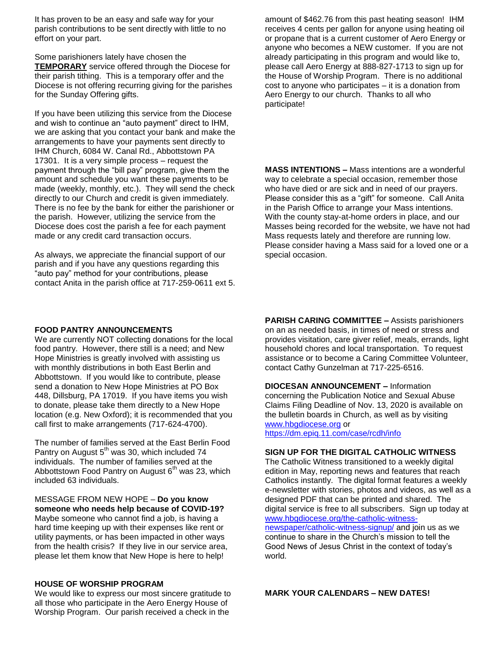It has proven to be an easy and safe way for your parish contributions to be sent directly with little to no effort on your part.

Some parishioners lately have chosen the **TEMPORARY** service offered through the Diocese for their parish tithing. This is a temporary offer and the Diocese is not offering recurring giving for the parishes for the Sunday Offering gifts.

If you have been utilizing this service from the Diocese and wish to continue an "auto payment" direct to IHM, we are asking that you contact your bank and make the arrangements to have your payments sent directly to IHM Church, 6084 W. Canal Rd., Abbottstown PA 17301. It is a very simple process – request the payment through the "bill pay" program, give them the amount and schedule you want these payments to be made (weekly, monthly, etc.). They will send the check directly to our Church and credit is given immediately. There is no fee by the bank for either the parishioner or the parish. However, utilizing the service from the Diocese does cost the parish a fee for each payment made or any credit card transaction occurs.

As always, we appreciate the financial support of our parish and if you have any questions regarding this "auto pay" method for your contributions, please contact Anita in the parish office at 717-259-0611 ext 5. amount of \$462.76 from this past heating season! IHM receives 4 cents per gallon for anyone using heating oil or propane that is a current customer of Aero Energy or anyone who becomes a NEW customer. If you are not already participating in this program and would like to, please call Aero Energy at 888-827-1713 to sign up for the House of Worship Program. There is no additional cost to anyone who participates – it is a donation from Aero Energy to our church. Thanks to all who participate!

**MASS INTENTIONS –** Mass intentions are a wonderful way to celebrate a special occasion, remember those who have died or are sick and in need of our prayers. Please consider this as a "gift" for someone. Call Anita in the Parish Office to arrange your Mass intentions. With the county stay-at-home orders in place, and our Masses being recorded for the website, we have not had Mass requests lately and therefore are running low. Please consider having a Mass said for a loved one or a special occasion.

#### **FOOD PANTRY ANNOUNCEMENTS**

We are currently NOT collecting donations for the local food pantry. However, there still is a need; and New Hope Ministries is greatly involved with assisting us with monthly distributions in both East Berlin and Abbottstown. If you would like to contribute, please send a donation to New Hope Ministries at PO Box 448, Dillsburg, PA 17019. If you have items you wish to donate, please take them directly to a New Hope location (e.g. New Oxford); it is recommended that you call first to make arrangements (717-624-4700).

The number of families served at the East Berlin Food Pantry on August  $5<sup>th</sup>$  was 30, which included 74 individuals. The number of families served at the Abbottstown Food Pantry on August  $6<sup>th</sup>$  was 23, which included 63 individuals.

MESSAGE FROM NEW HOPE – **Do you know someone who needs help because of COVID-19?** 

Maybe someone who cannot find a job, is having a hard time keeping up with their expenses like rent or utility payments, or has been impacted in other ways from the health crisis? If they live in our service area, please let them know that New Hope is here to help!

#### **HOUSE OF WORSHIP PROGRAM**

We would like to express our most sincere gratitude to all those who participate in the Aero Energy House of Worship Program. Our parish received a check in the

**PARISH CARING COMMITTEE –** Assists parishioners on an as needed basis, in times of need or stress and provides visitation, care giver relief, meals, errands, light household chores and local transportation. To request assistance or to become a Caring Committee Volunteer, contact Cathy Gunzelman at 717-225-6516.

**DIOCESAN ANNOUNCEMENT –** Information concerning the Publication Notice and Sexual Abuse Claims Filing Deadline of Nov. 13, 2020 is available on the bulletin boards in Church, as well as by visiting [www.hbgdiocese.org](http://www.hbgdiocese.org/) or <https://dm.epiq.11.com/case/rcdh/info>

## **SIGN UP FOR THE DIGITAL CATHOLIC WITNESS**

The Catholic Witness transitioned to a weekly digital edition in May, reporting news and features that reach Catholics instantly. The digital format features a weekly e-newsletter with stories, photos and videos, as well as a designed PDF that can be printed and shared. The digital service is free to all subscribers. Sign up today at [www.hbgdiocese.org/the-catholic-witness](http://www.hbgdiocese.org/the-catholic-witness-newspaper/catholic-witness-signup/)[newspaper/catholic-witness-signup/](http://www.hbgdiocese.org/the-catholic-witness-newspaper/catholic-witness-signup/) and join us as we continue to share in the Church's mission to tell the Good News of Jesus Christ in the context of today's world.

**MARK YOUR CALENDARS – NEW DATES!**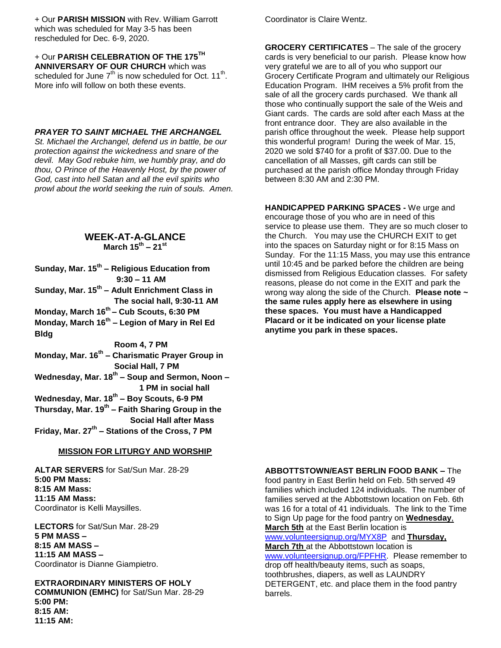+ Our **PARISH MISSION** with Rev. William Garrott which was scheduled for May 3-5 has been rescheduled for Dec. 6-9, 2020.

+ Our **PARISH CELEBRATION OF THE 175TH ANNIVERSARY OF OUR CHURCH** which was scheduled for June  $7^{\text{th}}$  is now scheduled for Oct. 11<sup>th</sup>. More info will follow on both these events.

#### *PRAYER TO SAINT MICHAEL THE ARCHANGEL*

*St. Michael the Archangel, defend us in battle, be our protection against the wickedness and snare of the devil. May God rebuke him, we humbly pray, and do thou, O Prince of the Heavenly Host, by the power of God, cast into hell Satan and all the evil spirits who prowl about the world seeking the ruin of souls. Amen.*

#### **WEEK-AT-A-GLANCE March 15th – 21st**

**Sunday, Mar. 15th – Religious Education from 9:30 – 11 AM Sunday, Mar. 15th – Adult Enrichment Class in The social hall, 9:30-11 AM Monday, March 16th – Cub Scouts, 6:30 PM Monday, March 16th – Legion of Mary in Rel Ed Bldg Room 4, 7 PM Monday, Mar. 16th – Charismatic Prayer Group in Social Hall, 7 PM Wednesday, Mar. 18th – Soup and Sermon, Noon – 1 PM in social hall Wednesday, Mar. 18th – Boy Scouts, 6-9 PM Thursday, Mar. 19th – Faith Sharing Group in the Social Hall after Mass Friday, Mar. 27th – Stations of the Cross, 7 PM**

#### **MISSION FOR LITURGY AND WORSHIP**

**ALTAR SERVERS** for Sat/Sun Mar. 28-29 **5:00 PM Mass: 8:15 AM Mass: 11:15 AM Mass:** Coordinator is Kelli Maysilles.

**LECTORS** for Sat/Sun Mar. 28-29 **5 PM MASS – 8:15 AM MASS – 11:15 AM MASS –** Coordinator is Dianne Giampietro.

**EXTRAORDINARY MINISTERS OF HOLY COMMUNION (EMHC)** for Sat/Sun Mar. 28-29 **5:00 PM: 8:15 AM: 11:15 AM:** 

Coordinator is Claire Wentz.

**GROCERY CERTIFICATES** – The sale of the grocery cards is very beneficial to our parish. Please know how very grateful we are to all of you who support our Grocery Certificate Program and ultimately our Religious Education Program. IHM receives a 5% profit from the sale of all the grocery cards purchased. We thank all those who continually support the sale of the Weis and Giant cards. The cards are sold after each Mass at the front entrance door. They are also available in the parish office throughout the week. Please help support this wonderful program! During the week of Mar. 15, 2020 we sold \$740 for a profit of \$37.00. Due to the cancellation of all Masses, gift cards can still be purchased at the parish office Monday through Friday between 8:30 AM and 2:30 PM.

**HANDICAPPED PARKING SPACES -** We urge and encourage those of you who are in need of this service to please use them. They are so much closer to the Church. You may use the CHURCH EXIT to get into the spaces on Saturday night or for 8:15 Mass on Sunday. For the 11:15 Mass, you may use this entrance until 10:45 and be parked before the children are being dismissed from Religious Education classes. For safety reasons, please do not come in the EXIT and park the wrong way along the side of the Church. **Please note ~ the same rules apply here as elsewhere in using these spaces. You must have a Handicapped Placard or it be indicated on your license plate anytime you park in these spaces.**

**ABBOTTSTOWN/EAST BERLIN FOOD BANK –** The food pantry in East Berlin held on Feb. 5th served 49 families which included 124 individuals. The number of families served at the Abbottstown location on Feb. 6th was 16 for a total of 41 individuals. The link to the Time to Sign Up page for the food pantry on **Wednesday**, **March 5th** at the East Berlin location is [www.volunteersignup.org/MYX8P](http://www.volunteersignup.org/MYX8P) and **Thursday, March 7th** at the Abbottstown location is [www.volunteersignup.org/FPFHR.](http://www.volunteersignup.org/FPFHR) Please remember to drop off health/beauty items, such as soaps, toothbrushes, diapers, as well as LAUNDRY DETERGENT, etc. and place them in the food pantry barrels.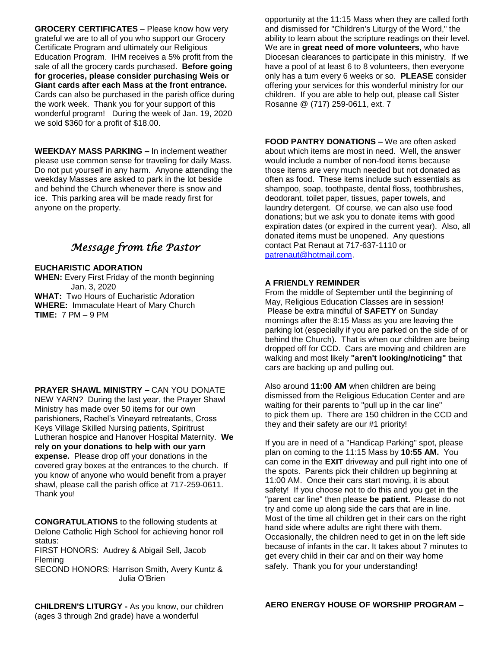**GROCERY CERTIFICATES** – Please know how very grateful we are to all of you who support our Grocery Certificate Program and ultimately our Religious Education Program. IHM receives a 5% profit from the sale of all the grocery cards purchased. **Before going for groceries, please consider purchasing Weis or Giant cards after each Mass at the front entrance.** Cards can also be purchased in the parish office during the work week. Thank you for your support of this wonderful program! During the week of Jan. 19, 2020 we sold \$360 for a profit of \$18.00.

**WEEKDAY MASS PARKING –** In inclement weather please use common sense for traveling for daily Mass. Do not put yourself in any harm. Anyone attending the weekday Masses are asked to park in the lot beside and behind the Church whenever there is snow and ice. This parking area will be made ready first for anyone on the property.

# *Message from the Pastor*

#### **EUCHARISTIC ADORATION**

**WHEN:** Every First Friday of the month beginning Jan. 3, 2020 **WHAT:** Two Hours of Eucharistic Adoration **WHERE:** Immaculate Heart of Mary Church **TIME:** 7 PM – 9 PM

#### **PRAYER SHAWL MINISTRY –** CAN YOU DONATE

NEW YARN? During the last year, the Prayer Shawl Ministry has made over 50 items for our own parishioners, Rachel's Vineyard retreatants, Cross Keys Village Skilled Nursing patients, Spiritrust Lutheran hospice and Hanover Hospital Maternity. **We rely on your donations to help with our yarn expense.** Please drop off your donations in the covered gray boxes at the entrances to the church. If you know of anyone who would benefit from a prayer shawl, please call the parish office at 717-259-0611. Thank you!

**CONGRATULATIONS** to the following students at Delone Catholic High School for achieving honor roll status:

FIRST HONORS: Audrey & Abigail Sell, Jacob Fleming

SECOND HONORS: Harrison Smith, Avery Kuntz & Julia O'Brien

opportunity at the 11:15 Mass when they are called forth and dismissed for "Children's Liturgy of the Word," the ability to learn about the scripture readings on their level. We are in **great need of more volunteers,** who have Diocesan clearances to participate in this ministry. If we have a pool of at least 6 to 8 volunteers, then everyone only has a turn every 6 weeks or so. **PLEASE** consider offering your services for this wonderful ministry for our children. If you are able to help out, please call Sister Rosanne @ (717) 259-0611, ext. 7

**FOOD PANTRY DONATIONS –** We are often asked about which items are most in need. Well, the answer would include a number of non-food items because those items are very much needed but not donated as often as food. These items include such essentials as shampoo, soap, toothpaste, dental floss, toothbrushes, deodorant, toilet paper, tissues, paper towels, and laundry detergent. Of course, we can also use food donations; but we ask you to donate items with good expiration dates (or expired in the current year). Also, all donated items must be unopened. Any questions contact Pat Renaut at 717-637-1110 or [patrenaut@hotmail.com.](mailto:patrenaut@hotmail.com)

#### **A FRIENDLY REMINDER**

From the middle of September until the beginning of May, Religious Education Classes are in session! Please be extra mindful of **SAFETY** on Sunday mornings after the 8:15 Mass as you are leaving the parking lot (especially if you are parked on the side of or behind the Church). That is when our children are being dropped off for CCD. Cars are moving and children are walking and most likely **"aren't looking/noticing"** that cars are backing up and pulling out.

Also around **11:00 AM** when children are being dismissed from the Religious Education Center and are waiting for their parents to "pull up in the car line" to pick them up. There are 150 children in the CCD and they and their safety are our #1 priority!

If you are in need of a "Handicap Parking" spot, please plan on coming to the 11:15 Mass by **10:55 AM.** You can come in the **EXIT** driveway and pull right into one of the spots. Parents pick their children up beginning at 11:00 AM. Once their cars start moving, it is about safety! If you choose not to do this and you get in the "parent car line" then please **be patient.** Please do not try and come up along side the cars that are in line. Most of the time all children get in their cars on the right hand side where adults are right there with them. Occasionally, the children need to get in on the left side because of infants in the car. It takes about 7 minutes to get every child in their car and on their way home safely. Thank you for your understanding!

**CHILDREN'S LITURGY -** As you know, our children (ages 3 through 2nd grade) have a wonderful

## **AERO ENERGY HOUSE OF WORSHIP PROGRAM –**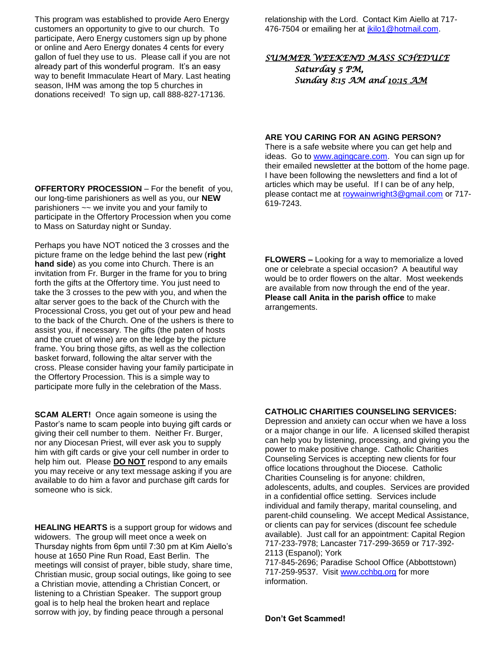This program was established to provide Aero Energy customers an opportunity to give to our church. To participate, Aero Energy customers sign up by phone or online and Aero Energy donates 4 cents for every gallon of fuel they use to us. Please call if you are not already part of this wonderful program. It's an easy way to benefit Immaculate Heart of Mary. Last heating season, IHM was among the top 5 churches in donations received! To sign up, call 888-827-17136.

**OFFERTORY PROCESSION** – For the benefit of you, our long-time parishioners as well as you, our **NEW**  parishioners ~~ we invite you and your family to participate in the Offertory Procession when you come to Mass on Saturday night or Sunday.

Perhaps you have NOT noticed the 3 crosses and the picture frame on the ledge behind the last pew (**right hand side**) as you come into Church. There is an invitation from Fr. Burger in the frame for you to bring forth the gifts at the Offertory time. You just need to take the 3 crosses to the pew with you, and when the altar server goes to the back of the Church with the Processional Cross, you get out of your pew and head to the back of the Church. One of the ushers is there to assist you, if necessary. The gifts (the paten of hosts and the cruet of wine) are on the ledge by the picture frame. You bring those gifts, as well as the collection basket forward, following the altar server with the cross. Please consider having your family participate in the Offertory Procession. This is a simple way to participate more fully in the celebration of the Mass.

**SCAM ALERT!** Once again someone is using the Pastor's name to scam people into buying gift cards or giving their cell number to them. Neither Fr. Burger, nor any Diocesan Priest, will ever ask you to supply him with gift cards or give your cell number in order to help him out. Please **DO NOT** respond to any emails you may receive or any text message asking if you are available to do him a favor and purchase gift cards for someone who is sick.

**HEALING HEARTS** is a support group for widows and widowers. The group will meet once a week on Thursday nights from 6pm until 7:30 pm at Kim Aiello's house at 1650 Pine Run Road, East Berlin. The meetings will consist of prayer, bible study, share time, Christian music, group social outings, like going to see a Christian movie, attending a Christian Concert, or listening to a Christian Speaker. The support group goal is to help heal the broken heart and replace sorrow with joy, by finding peace through a personal

relationship with the Lord. Contact Kim Aiello at 717 476-7504 or emailing her at [jkilo1@hotmail.com.](mailto:jkilo1@hotmail.com)

## *SUMMER WEEKEND MASS SCHEDULE Saturday 5 PM, Sunday 8:15 AM and 10:15 AM*

#### **ARE YOU CARING FOR AN AGING PERSON?**

There is a safe website where you can get help and ideas. Go to [www.agingcare.com.](http://www.agingcare.com/) You can sign up for their emailed newsletter at the bottom of the home page. I have been following the newsletters and find a lot of articles which may be useful. If I can be of any help, please contact me at [roywainwright3@gmail.com](mailto:roywainwright3@gmail.com) or 717- 619-7243.

**FLOWERS –** Looking for a way to memorialize a loved one or celebrate a special occasion? A beautiful way would be to order flowers on the altar. Most weekends are available from now through the end of the year. **Please call Anita in the parish office** to make arrangements.

#### **CATHOLIC CHARITIES COUNSELING SERVICES:**

Depression and anxiety can occur when we have a loss or a major change in our life. A licensed skilled therapist can help you by listening, processing, and giving you the power to make positive change. Catholic Charities Counseling Services is accepting new clients for four office locations throughout the Diocese. Catholic Charities Counseling is for anyone: children, adolescents, adults, and couples. Services are provided in a confidential office setting. Services include individual and family therapy, marital counseling, and parent-child counseling. We accept Medical Assistance, or clients can pay for services (discount fee schedule available). Just call for an appointment: Capital Region 717-233-7978; Lancaster 717-299-3659 or 717-392- 2113 (Espanol); York

717-845-2696; Paradise School Office (Abbottstown) 717-259-9537. Visit [www.cchbg.org](http://www.cchbg.org/) for more information.

**Don't Get Scammed!**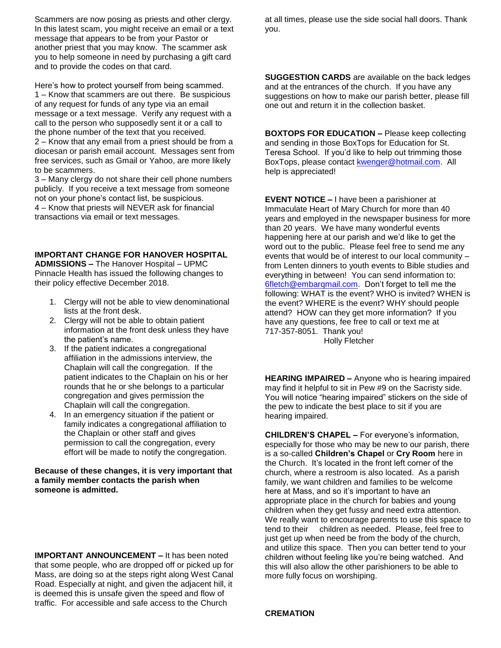Scammers are now posing as priests and other clergy. In this latest scam, you might receive an email or a text message that appears to be from your Pastor or another priest that you may know. The scammer ask you to help someone in need by purchasing a gift card and to provide the codes on that card.

Here's how to protect yourself from being scammed. 1 – Know that scammers are out there. Be suspicious of any request for funds of any type via an email message or a text message. Verify any request with a call to the person who supposedly sent it or a call to the phone number of the text that you received. 2 – Know that any email from a priest should be from a diocesan or parish email account. Messages sent from free services, such as Gmail or Yahoo, are more likely to be scammers.

3 – Many clergy do not share their cell phone numbers publicly. If you receive a text message from someone not on your phone's contact list, be suspicious. 4 – Know that priests will NEVER ask for financial transactions via email or text messages.

#### **IMPORTANT CHANGE FOR HANOVER HOSPITAL**

**ADMISSIONS –** The Hanover Hospital – UPMC Pinnacle Health has issued the following changes to their policy effective December 2018.

- 1. Clergy will not be able to view denominational lists at the front desk.
- 2. Clergy will not be able to obtain patient information at the front desk unless they have the patient's name.
- 3. If the patient indicates a congregational affiliation in the admissions interview, the Chaplain will call the congregation. If the patient indicates to the Chaplain on his or her rounds that he or she belongs to a particular congregation and gives permission the Chaplain will call the congregation.
- 4. In an emergency situation if the patient or family indicates a congregational affiliation to the Chaplain or other staff and gives permission to call the congregation, every effort will be made to notify the congregation.

#### **Because of these changes, it is very important that a family member contacts the parish when someone is admitted.**

**IMPORTANT ANNOUNCEMENT –** It has been noted that some people, who are dropped off or picked up for Mass, are doing so at the steps right along West Canal Road. Especially at night, and given the adjacent hill, it is deemed this is unsafe given the speed and flow of traffic. For accessible and safe access to the Church

at all times, please use the side social hall doors. Thank you.

**SUGGESTION CARDS** are available on the back ledges and at the entrances of the church. If you have any suggestions on how to make our parish better, please fill one out and return it in the collection basket.

**BOXTOPS FOR EDUCATION –** Please keep collecting and sending in those BoxTops for Education for St. Teresa School. If you'd like to help out trimming those BoxTops, please contact [kwenger@hotmail.com.](mailto:kwenger@hotmail.com) All help is appreciated!

**EVENT NOTICE –** I have been a parishioner at Immaculate Heart of Mary Church for more than 40 years and employed in the newspaper business for more than 20 years. We have many wonderful events happening here at our parish and we'd like to get the word out to the public. Please feel free to send me any events that would be of interest to our local community – from Lenten dinners to youth events to Bible studies and everything in between! You can send information to: [6fletch@embarqmail.com.](mailto:6fletch@embarqmail.com) Don't forget to tell me the following: WHAT is the event? WHO is invited? WHEN is the event? WHERE is the event? WHY should people attend? HOW can they get more information? If you have any questions, fee free to call or text me at 717-357-8051. Thank you!

Holly Fletcher

**HEARING IMPAIRED –** Anyone who is hearing impaired may find it helpful to sit in Pew #9 on the Sacristy side. You will notice "hearing impaired" stickers on the side of the pew to indicate the best place to sit if you are hearing impaired.

**CHILDREN'S CHAPEL –** For everyone's information, especially for those who may be new to our parish, there is a so-called **Children's Chapel** or **Cry Room** here in the Church. It's located in the front left corner of the church, where a restroom is also located. As a parish family, we want children and families to be welcome here at Mass, and so it's important to have an appropriate place in the church for babies and young children when they get fussy and need extra attention. We really want to encourage parents to use this space to tend to their children as needed. Please, feel free to just get up when need be from the body of the church, and utilize this space. Then you can better tend to your children without feeling like you're being watched. And this will also allow the other parishioners to be able to more fully focus on worshiping.